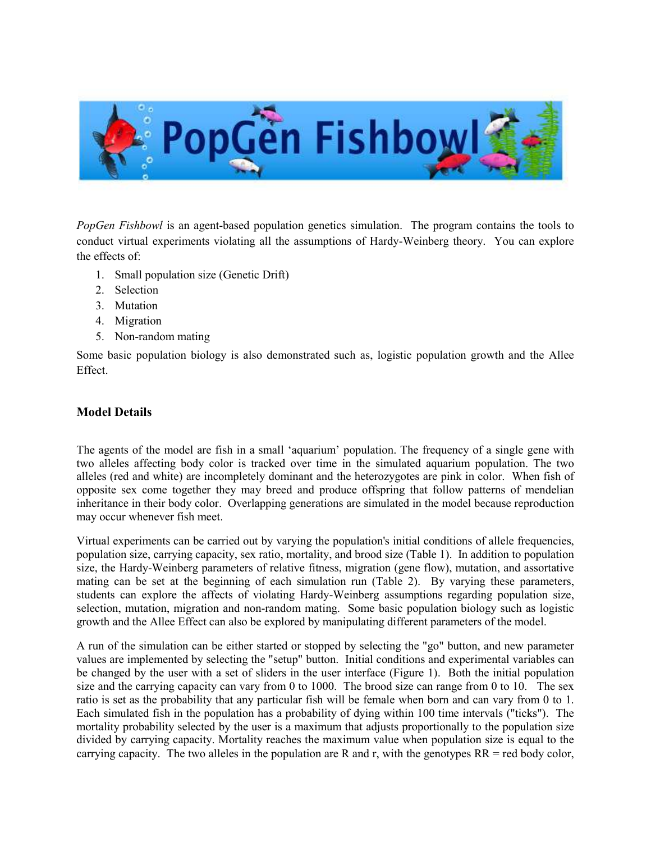

PopGen Fishbowl is an agent-based population genetics simulation. The program contains the tools to conduct virtual experiments violating all the assumptions of Hardy-Weinberg theory. You can explore the effects of:

- 1. Small population size (Genetic Drift)
- 2. Selection
- 3. Mutation
- 4. Migration
- 5. Non-random mating

Some basic population biology is also demonstrated such as, logistic population growth and the Allee Effect.

## Model Details

The agents of the model are fish in a small 'aquarium' population. The frequency of a single gene with two alleles affecting body color is tracked over time in the simulated aquarium population. The two alleles (red and white) are incompletely dominant and the heterozygotes are pink in color. When fish of opposite sex come together they may breed and produce offspring that follow patterns of mendelian inheritance in their body color. Overlapping generations are simulated in the model because reproduction may occur whenever fish meet.

Virtual experiments can be carried out by varying the population's initial conditions of allele frequencies, population size, carrying capacity, sex ratio, mortality, and brood size (Table 1). In addition to population size, the Hardy-Weinberg parameters of relative fitness, migration (gene flow), mutation, and assortative mating can be set at the beginning of each simulation run (Table 2). By varying these parameters, students can explore the affects of violating Hardy-Weinberg assumptions regarding population size, selection, mutation, migration and non-random mating. Some basic population biology such as logistic growth and the Allee Effect can also be explored by manipulating different parameters of the model.

A run of the simulation can be either started or stopped by selecting the "go" button, and new parameter values are implemented by selecting the "setup" button. Initial conditions and experimental variables can be changed by the user with a set of sliders in the user interface (Figure 1). Both the initial population size and the carrying capacity can vary from 0 to 1000. The brood size can range from 0 to 10. The sex ratio is set as the probability that any particular fish will be female when born and can vary from 0 to 1. Each simulated fish in the population has a probability of dying within 100 time intervals ("ticks"). The mortality probability selected by the user is a maximum that adjusts proportionally to the population size divided by carrying capacity. Mortality reaches the maximum value when population size is equal to the carrying capacity. The two alleles in the population are R and r, with the genotypes  $RR =$  red body color,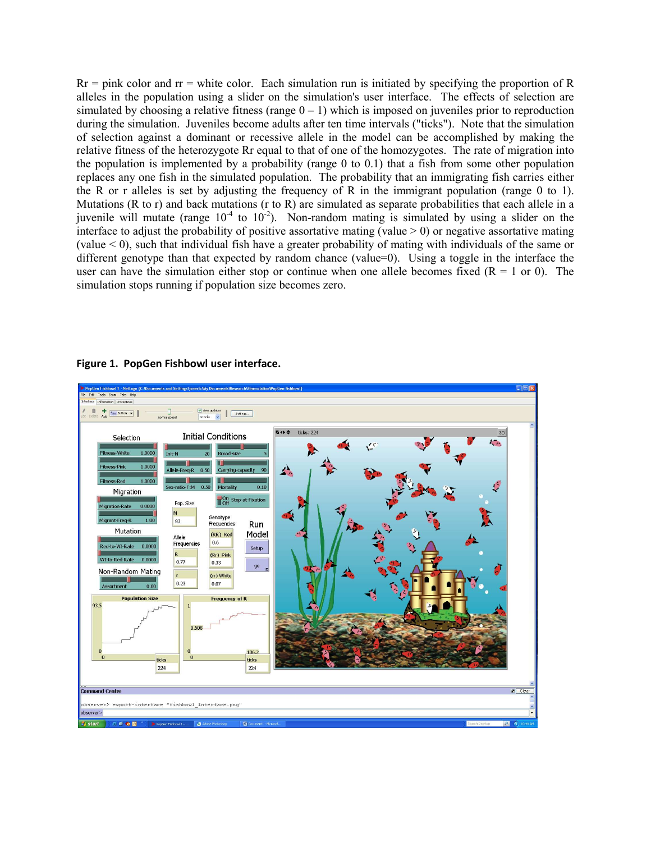$Rr =$  pink color and  $rr =$  white color. Each simulation run is initiated by specifying the proportion of R alleles in the population using a slider on the simulation's user interface. The effects of selection are simulated by choosing a relative fitness (range  $0 - 1$ ) which is imposed on juveniles prior to reproduction during the simulation. Juveniles become adults after ten time intervals ("ticks"). Note that the simulation of selection against a dominant or recessive allele in the model can be accomplished by making the relative fitness of the heterozygote Rr equal to that of one of the homozygotes. The rate of migration into the population is implemented by a probability (range 0 to 0.1) that a fish from some other population replaces any one fish in the simulated population. The probability that an immigrating fish carries either the R or r alleles is set by adjusting the frequency of R in the immigrant population (range 0 to 1). Mutations (R to r) and back mutations (r to R) are simulated as separate probabilities that each allele in a juvenile will mutate (range  $10^{-4}$  to  $10^{-2}$ ). Non-random mating is simulated by using a slider on the interface to adjust the probability of positive assortative mating (value  $> 0$ ) or negative assortative mating (value < 0), such that individual fish have a greater probability of mating with individuals of the same or different genotype than that expected by random chance (value=0). Using a toggle in the interface the user can have the simulation either stop or continue when one allele becomes fixed  $(R = 1 \text{ or } 0)$ . The simulation stops running if population size becomes zero.



Figure 1. PopGen Fishbowl user interface.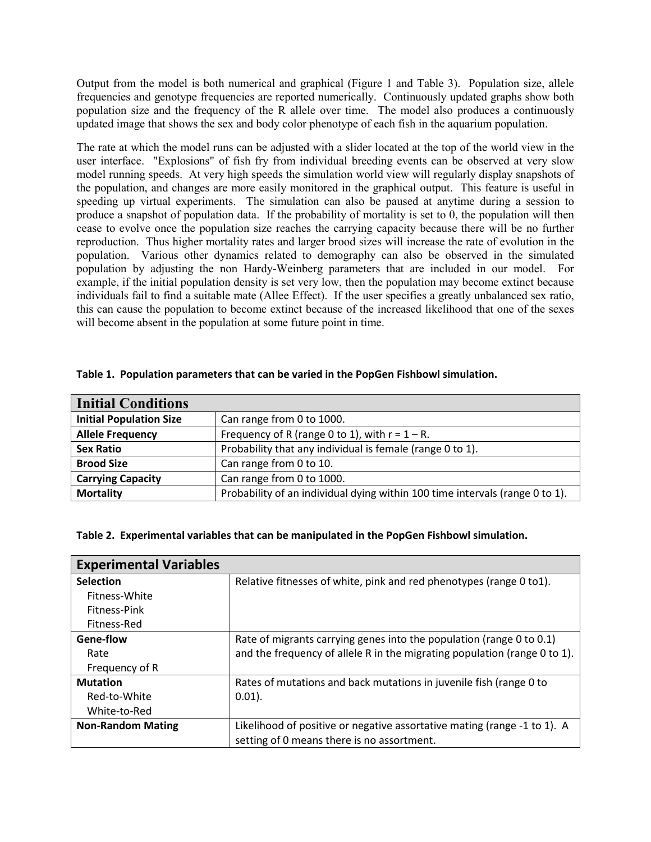Output from the model is both numerical and graphical (Figure 1 and Table 3). Population size, allele frequencies and genotype frequencies are reported numerically. Continuously updated graphs show both population size and the frequency of the R allele over time. The model also produces a continuously updated image that shows the sex and body color phenotype of each fish in the aquarium population.

The rate at which the model runs can be adjusted with a slider located at the top of the world view in the user interface. "Explosions" of fish fry from individual breeding events can be observed at very slow model running speeds. At very high speeds the simulation world view will regularly display snapshots of the population, and changes are more easily monitored in the graphical output. This feature is useful in speeding up virtual experiments. The simulation can also be paused at anytime during a session to produce a snapshot of population data. If the probability of mortality is set to 0, the population will then cease to evolve once the population size reaches the carrying capacity because there will be no further reproduction. Thus higher mortality rates and larger brood sizes will increase the rate of evolution in the population. Various other dynamics related to demography can also be observed in the simulated population by adjusting the non Hardy-Weinberg parameters that are included in our model. For example, if the initial population density is set very low, then the population may become extinct because individuals fail to find a suitable mate (Allee Effect). If the user specifies a greatly unbalanced sex ratio, this can cause the population to become extinct because of the increased likelihood that one of the sexes will become absent in the population at some future point in time.

| <b>Initial Conditions</b>      |                                                                              |
|--------------------------------|------------------------------------------------------------------------------|
| <b>Initial Population Size</b> | Can range from 0 to 1000.                                                    |
| <b>Allele Frequency</b>        | Frequency of R (range 0 to 1), with $r = 1 - R$ .                            |
| <b>Sex Ratio</b>               | Probability that any individual is female (range 0 to 1).                    |
| <b>Brood Size</b>              | Can range from 0 to 10.                                                      |
| <b>Carrying Capacity</b>       | Can range from 0 to 1000.                                                    |
| <b>Mortality</b>               | Probability of an individual dying within 100 time intervals (range 0 to 1). |

## Table 1. Population parameters that can be varied in the PopGen Fishbowl simulation.

## Table 2. Experimental variables that can be manipulated in the PopGen Fishbowl simulation.

| <b>Experimental Variables</b> |                                                                                                                        |
|-------------------------------|------------------------------------------------------------------------------------------------------------------------|
| <b>Selection</b>              | Relative fitnesses of white, pink and red phenotypes (range 0 to1).                                                    |
| Fitness-White                 |                                                                                                                        |
| Fitness-Pink                  |                                                                                                                        |
| Fitness-Red                   |                                                                                                                        |
| Gene-flow                     | Rate of migrants carrying genes into the population (range 0 to 0.1)                                                   |
| Rate                          | and the frequency of allele R in the migrating population (range 0 to 1).                                              |
| Frequency of R                |                                                                                                                        |
| <b>Mutation</b>               | Rates of mutations and back mutations in juvenile fish (range 0 to                                                     |
| Red-to-White                  | $0.01$ ).                                                                                                              |
| White-to-Red                  |                                                                                                                        |
| <b>Non-Random Mating</b>      | Likelihood of positive or negative assortative mating (range -1 to 1). A<br>setting of 0 means there is no assortment. |